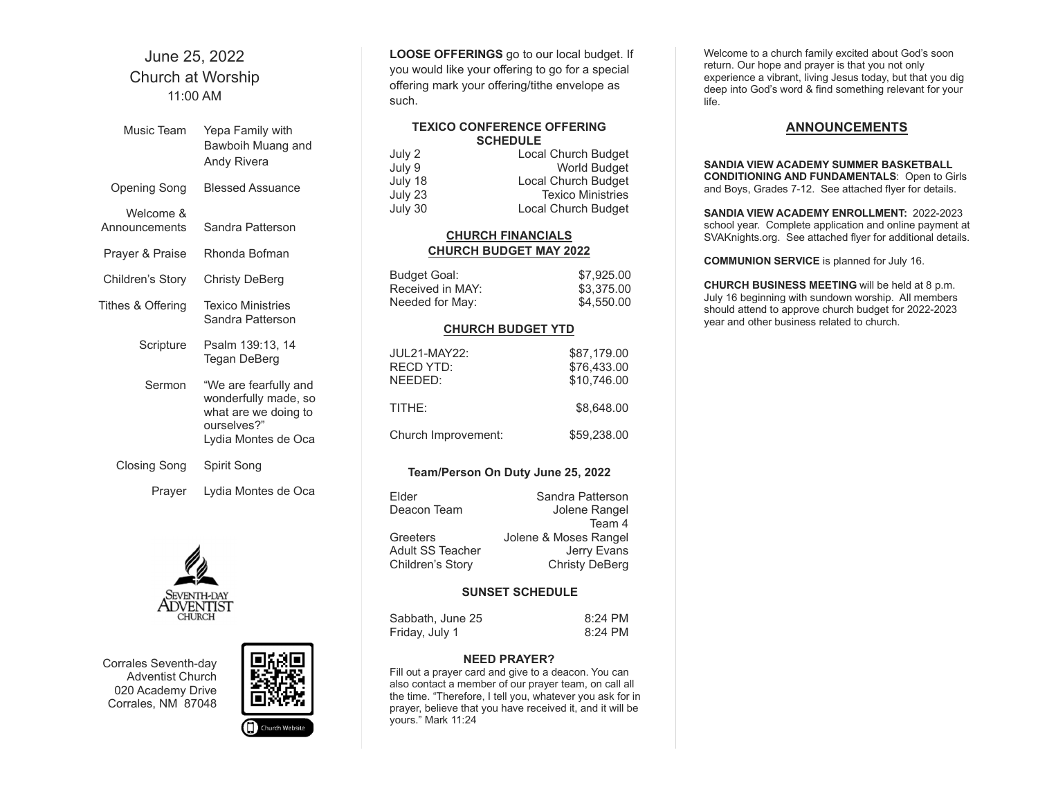# June 25, 2022 Church at Worship 11:00 AM

| Music Team                 | Yepa Family with<br>Bawboih Muang and<br>Andy Rivera                                                        |
|----------------------------|-------------------------------------------------------------------------------------------------------------|
| Opening Song               | <b>Blessed Assuance</b>                                                                                     |
| Welcome &<br>Announcements | Sandra Patterson                                                                                            |
| Prayer & Praise            | Rhonda Bofman                                                                                               |
| Children's Story           | Christy DeBerg                                                                                              |
| Tithes & Offering          | <b>Texico Ministries</b><br>Sandra Patterson                                                                |
| Scripture                  | Psalm 139:13, 14<br>Tegan DeBerg                                                                            |
| Sermon                     | "We are fearfully and<br>wonderfully made, so<br>what are we doing to<br>ourselves?"<br>Lydia Montes de Oca |
| Closing Song               | Spirit Song                                                                                                 |
| Prayer                     | Lydia Montes de Oca                                                                                         |



Corrales Seventh-day Adventist Church 020 Academy Drive Corrales, NM 87048



LOOSE OFFERINGS go to our local budget. If you would like your offering to go for a special offering mark your offering/tithe envelope as such.

# TEXICO CONFERENCE OFFERING **SCHEDULE**

| July 2  | Local Church Budget      |
|---------|--------------------------|
| July 9  | <b>World Budget</b>      |
| July 18 | Local Church Budget      |
| July 23 | <b>Texico Ministries</b> |
| July 30 | Local Church Budget      |

# CHURCH FINANCIALS CHURCH BUDGET MAY 2022

| Budget Goal:     | \$7.925.00 |
|------------------|------------|
| Received in MAY: | \$3,375.00 |
| Needed for May:  | \$4,550,00 |

#### CHURCH BUDGET YTD

| <b>JUL21-MAY22:</b><br><b>RECD YTD:</b><br>NFFDFD: | \$87,179.00<br>\$76,433.00<br>\$10,746.00 |
|----------------------------------------------------|-------------------------------------------|
| TITHE:                                             | \$8.648.00                                |
| Church Improvement:                                | \$59,238,00                               |

# Team/Person On Duty June 25, 2022

| Elder            | Sandra Patterson      |
|------------------|-----------------------|
| Deacon Team      | Jolene Rangel         |
|                  | Team 4                |
| Greeters         | Jolene & Moses Rangel |
| Adult SS Teacher | Jerry Evans           |
| Children's Story | <b>Christy DeBerg</b> |
|                  |                       |

#### SUNSET SCHEDULE

| Sabbath, June 25 | $8:24$ PM |
|------------------|-----------|
| Friday, July 1   | 8:24 PM   |

#### NEED PRAYER?

Fill out a prayer card and give to a deacon. You can also contact a member of our prayer team, on call all the time. "Therefore, I tell you, whatever you ask for in prayer, believe that you have received it, and it will be yours." Mark 11:24

Welcome to a church family excited about God's soon return. Our hope and prayer is that you not only experience a vibrant, living Jesus today, but that you dig deep into God's word & find something relevant for your life.

### **ANNOUNCEMENTS**

SANDIA VIEW ACADEMY SUMMER BASKETBALL CONDITIONING AND FUNDAMENTALS: Open to Girls and Boys, Grades 7-12. See attached flyer for details.

SANDIA VIEW ACADEMY ENROLLMENT: 2022-2023 school year. Complete application and online payment at SVAKnights.org. See attached flyer for additional details.

COMMUNION SERVICE is planned for July 16.

CHURCH BUSINESS MEETING will be held at 8 p.m. July 16 beginning with sundown worship. All members should attend to approve church budget for 2022-2023 year and other business related to church.